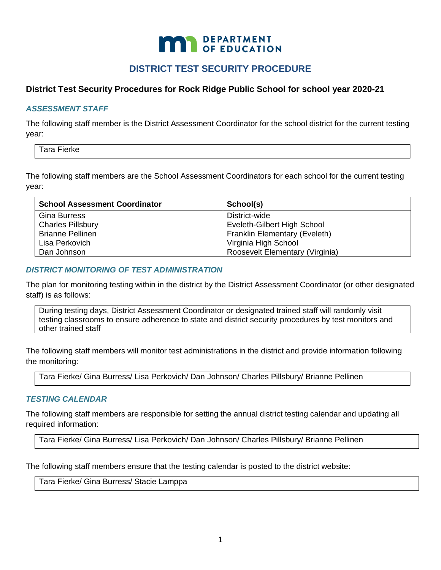# **MAN** DEPARTMENT

# **DISTRICT TEST SECURITY PROCEDURE**

# **District Test Security Procedures for Rock Ridge Public School for school year 2020-21**

## *ASSESSMENT STAFF*

The following staff member is the District Assessment Coordinator for the school district for the current testing year:

Tara Fierke

The following staff members are the School Assessment Coordinators for each school for the current testing year:

| <b>School Assessment Coordinator</b> | School(s)                            |
|--------------------------------------|--------------------------------------|
| <b>Gina Burress</b>                  | District-wide                        |
| <b>Charles Pillsbury</b>             | Eveleth-Gilbert High School          |
| <b>Brianne Pellinen</b>              | <b>Franklin Elementary (Eveleth)</b> |
| Lisa Perkovich                       | Virginia High School                 |
| Dan Johnson                          | Roosevelt Elementary (Virginia)      |

#### *DISTRICT MONITORING OF TEST ADMINISTRATION*

The plan for monitoring testing within in the district by the District Assessment Coordinator (or other designated staff) is as follows:

During testing days, District Assessment Coordinator or designated trained staff will randomly visit testing classrooms to ensure adherence to state and district security procedures by test monitors and other trained staff

The following staff members will monitor test administrations in the district and provide information following the monitoring:

Tara Fierke/ Gina Burress/ Lisa Perkovich/ Dan Johnson/ Charles Pillsbury/ Brianne Pellinen

#### *TESTING CALENDAR*

The following staff members are responsible for setting the annual district testing calendar and updating all required information:

Tara Fierke/ Gina Burress/ Lisa Perkovich/ Dan Johnson/ Charles Pillsbury/ Brianne Pellinen

The following staff members ensure that the testing calendar is posted to the district website:

Tara Fierke/ Gina Burress/ Stacie Lamppa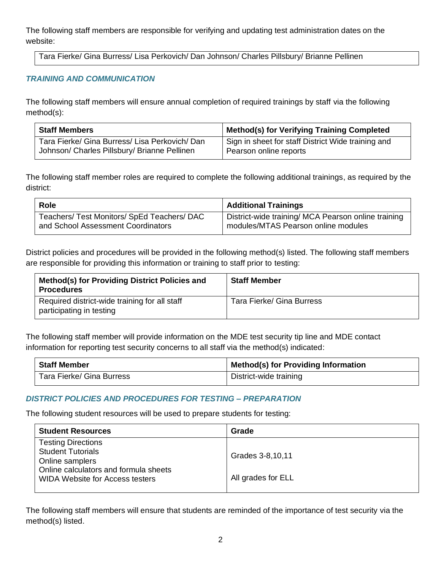The following staff members are responsible for verifying and updating test administration dates on the website:

Tara Fierke/ Gina Burress/ Lisa Perkovich/ Dan Johnson/ Charles Pillsbury/ Brianne Pellinen

# *TRAINING AND COMMUNICATION*

The following staff members will ensure annual completion of required trainings by staff via the following method(s):

| <b>Staff Members</b>                           | Method(s) for Verifying Training Completed         |
|------------------------------------------------|----------------------------------------------------|
| Tara Fierke/ Gina Burress/ Lisa Perkovich/ Dan | Sign in sheet for staff District Wide training and |
| Johnson/ Charles Pillsbury/ Brianne Pellinen   | Pearson online reports                             |

The following staff member roles are required to complete the following additional trainings, as required by the district:

| <b>Role</b>                                 | <b>Additional Trainings</b>                         |
|---------------------------------------------|-----------------------------------------------------|
| Teachers/ Test Monitors/ SpEd Teachers/ DAC | District-wide training/ MCA Pearson online training |
| and School Assessment Coordinators          | modules/MTAS Pearson online modules                 |

District policies and procedures will be provided in the following method(s) listed. The following staff members are responsible for providing this information or training to staff prior to testing:

| Method(s) for Providing District Policies and<br><b>Procedures</b>        | <b>Staff Member</b>       |
|---------------------------------------------------------------------------|---------------------------|
| Required district-wide training for all staff<br>participating in testing | Tara Fierke/ Gina Burress |

The following staff member will provide information on the MDE test security tip line and MDE contact information for reporting test security concerns to all staff via the method(s) indicated:

| Staff Member              | <b>Method(s) for Providing Information</b> |
|---------------------------|--------------------------------------------|
| Tara Fierke/ Gina Burress | District-wide training                     |

# *DISTRICT POLICIES AND PROCEDURES FOR TESTING – PREPARATION*

The following student resources will be used to prepare students for testing:

| <b>Student Resources</b>                                                        | Grade              |
|---------------------------------------------------------------------------------|--------------------|
| <b>Testing Directions</b>                                                       |                    |
| <b>Student Tutorials</b><br>Online samplers                                     | Grades 3-8,10,11   |
| Online calculators and formula sheets<br><b>WIDA Website for Access testers</b> | All grades for ELL |

The following staff members will ensure that students are reminded of the importance of test security via the method(s) listed.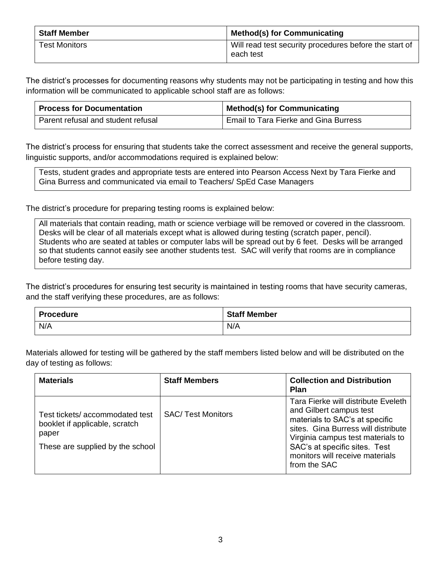| <b>Staff Member</b>  | <b>Method(s) for Communicating</b>                                  |
|----------------------|---------------------------------------------------------------------|
| <b>Test Monitors</b> | Will read test security procedures before the start of<br>each test |

The district's processes for documenting reasons why students may not be participating in testing and how this information will be communicated to applicable school staff are as follows:

| <b>Process for Documentation</b>   | <b>Method(s) for Communicating</b>      |
|------------------------------------|-----------------------------------------|
| Parent refusal and student refusal | ' Email to Tara Fierke and Gina Burress |

The district's process for ensuring that students take the correct assessment and receive the general supports, linguistic supports, and/or accommodations required is explained below:

Tests, student grades and appropriate tests are entered into Pearson Access Next by Tara Fierke and Gina Burress and communicated via email to Teachers/ SpEd Case Managers

The district's procedure for preparing testing rooms is explained below:

All materials that contain reading, math or science verbiage will be removed or covered in the classroom. Desks will be clear of all materials except what is allowed during testing (scratch paper, pencil). Students who are seated at tables or computer labs will be spread out by 6 feet. Desks will be arranged so that students cannot easily see another students test. SAC will verify that rooms are in compliance before testing day.

The district's procedures for ensuring test security is maintained in testing rooms that have security cameras, and the staff verifying these procedures, are as follows:

| <b>Procedure</b> | <b>Staff Member</b> |
|------------------|---------------------|
| N/A              | N/A                 |

Materials allowed for testing will be gathered by the staff members listed below and will be distributed on the day of testing as follows:

| <b>Materials</b>                                                                                              | <b>Staff Members</b>     | <b>Collection and Distribution</b><br><b>Plan</b>                                                                                                                                                                                                                |
|---------------------------------------------------------------------------------------------------------------|--------------------------|------------------------------------------------------------------------------------------------------------------------------------------------------------------------------------------------------------------------------------------------------------------|
| Test tickets/accommodated test<br>booklet if applicable, scratch<br>paper<br>These are supplied by the school | <b>SAC/Test Monitors</b> | Tara Fierke will distribute Eveleth<br>and Gilbert campus test<br>materials to SAC's at specific<br>sites. Gina Burress will distribute<br>Virginia campus test materials to<br>SAC's at specific sites. Test<br>monitors will receive materials<br>from the SAC |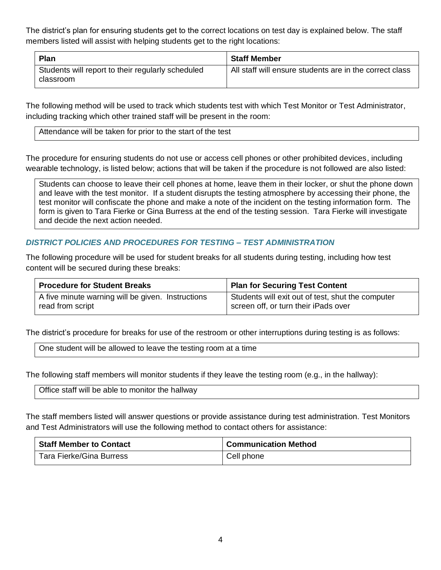The district's plan for ensuring students get to the correct locations on test day is explained below. The staff members listed will assist with helping students get to the right locations:

| <b>Plan</b>                                                    | <b>Staff Member</b>                                     |
|----------------------------------------------------------------|---------------------------------------------------------|
| Students will report to their regularly scheduled<br>classroom | All staff will ensure students are in the correct class |

The following method will be used to track which students test with which Test Monitor or Test Administrator, including tracking which other trained staff will be present in the room:

Attendance will be taken for prior to the start of the test

The procedure for ensuring students do not use or access cell phones or other prohibited devices, including wearable technology, is listed below; actions that will be taken if the procedure is not followed are also listed:

Students can choose to leave their cell phones at home, leave them in their locker, or shut the phone down and leave with the test monitor. If a student disrupts the testing atmosphere by accessing their phone, the test monitor will confiscate the phone and make a note of the incident on the testing information form. The form is given to Tara Fierke or Gina Burress at the end of the testing session. Tara Fierke will investigate and decide the next action needed.

#### *DISTRICT POLICIES AND PROCEDURES FOR TESTING – TEST ADMINISTRATION*

The following procedure will be used for student breaks for all students during testing, including how test content will be secured during these breaks:

| Procedure for Student Breaks                      | Plan for Securing Test Content                    |
|---------------------------------------------------|---------------------------------------------------|
| A five minute warning will be given. Instructions | Students will exit out of test, shut the computer |
| read from script                                  | screen off, or turn their iPads over              |

The district's procedure for breaks for use of the restroom or other interruptions during testing is as follows:

One student will be allowed to leave the testing room at a time

The following staff members will monitor students if they leave the testing room (e.g., in the hallway):

|  |  | Office staff will be able to monitor the hallway |  |
|--|--|--------------------------------------------------|--|
|--|--|--------------------------------------------------|--|

The staff members listed will answer questions or provide assistance during test administration. Test Monitors and Test Administrators will use the following method to contact others for assistance:

| <b>Staff Member to Contact</b> | <sup>1</sup> Communication Method |
|--------------------------------|-----------------------------------|
| Tara Fierke/Gina Burress       | Cell phone                        |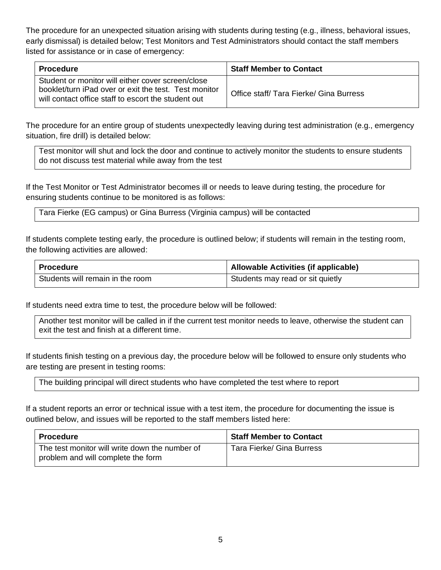The procedure for an unexpected situation arising with students during testing (e.g., illness, behavioral issues, early dismissal) is detailed below; Test Monitors and Test Administrators should contact the staff members listed for assistance or in case of emergency:

| <b>Procedure</b>                                                                                                                                                  | <b>Staff Member to Contact</b>        |
|-------------------------------------------------------------------------------------------------------------------------------------------------------------------|---------------------------------------|
| Student or monitor will either cover screen/close<br>booklet/turn iPad over or exit the test. Test monitor<br>will contact office staff to escort the student out | Office staff/Tara Fierke/Gina Burress |

The procedure for an entire group of students unexpectedly leaving during test administration (e.g., emergency situation, fire drill) is detailed below:

Test monitor will shut and lock the door and continue to actively monitor the students to ensure students do not discuss test material while away from the test

If the Test Monitor or Test Administrator becomes ill or needs to leave during testing, the procedure for ensuring students continue to be monitored is as follows:

Tara Fierke (EG campus) or Gina Burress (Virginia campus) will be contacted

If students complete testing early, the procedure is outlined below; if students will remain in the testing room, the following activities are allowed:

| Procedure                        | Allowable Activities (if applicable) |
|----------------------------------|--------------------------------------|
| Students will remain in the room | Students may read or sit quietly     |

If students need extra time to test, the procedure below will be followed:

Another test monitor will be called in if the current test monitor needs to leave, otherwise the student can exit the test and finish at a different time.

If students finish testing on a previous day, the procedure below will be followed to ensure only students who are testing are present in testing rooms:

The building principal will direct students who have completed the test where to report

If a student reports an error or technical issue with a test item, the procedure for documenting the issue is outlined below, and issues will be reported to the staff members listed here:

| Procedure                                                                            | <b>Staff Member to Contact</b> |
|--------------------------------------------------------------------------------------|--------------------------------|
| The test monitor will write down the number of<br>problem and will complete the form | Tara Fierke/ Gina Burress      |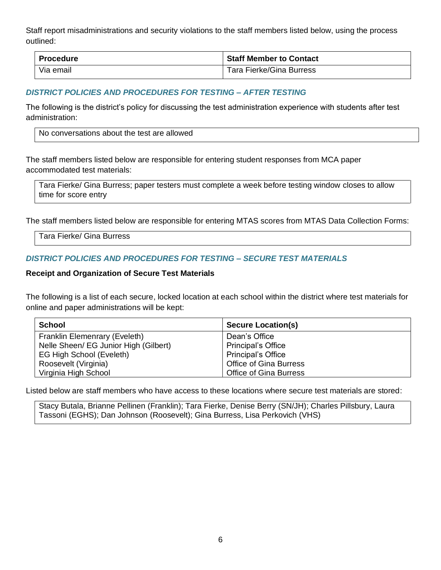Staff report misadministrations and security violations to the staff members listed below, using the process outlined:

| <b>Procedure</b> | <b>Staff Member to Contact</b> |
|------------------|--------------------------------|
| Via email        | Tara Fierke/Gina Burress       |

#### *DISTRICT POLICIES AND PROCEDURES FOR TESTING – AFTER TESTING*

The following is the district's policy for discussing the test administration experience with students after test administration:

The staff members listed below are responsible for entering student responses from MCA paper accommodated test materials:

Tara Fierke/ Gina Burress; paper testers must complete a week before testing window closes to allow time for score entry

The staff members listed below are responsible for entering MTAS scores from MTAS Data Collection Forms:

Tara Fierke/ Gina Burress

#### *DISTRICT POLICIES AND PROCEDURES FOR TESTING – SECURE TEST MATERIALS*

#### **Receipt and Organization of Secure Test Materials**

The following is a list of each secure, locked location at each school within the district where test materials for online and paper administrations will be kept:

| School                                | <b>Secure Location(s)</b>     |
|---------------------------------------|-------------------------------|
| Franklin Elemenrary (Eveleth)         | Dean's Office                 |
| Nelle Sheen/ EG Junior High (Gilbert) | <b>Principal's Office</b>     |
| EG High School (Eveleth)              | <b>Principal's Office</b>     |
| Roosevelt (Virginia)                  | <b>Office of Gina Burress</b> |
| Virginia High School                  | <b>Office of Gina Burress</b> |

Listed below are staff members who have access to these locations where secure test materials are stored:

Stacy Butala, Brianne Pellinen (Franklin); Tara Fierke, Denise Berry (SN/JH); Charles Pillsbury, Laura Tassoni (EGHS); Dan Johnson (Roosevelt); Gina Burress, Lisa Perkovich (VHS)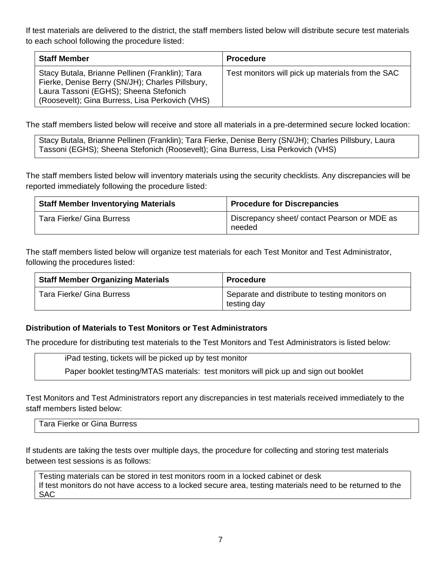If test materials are delivered to the district, the staff members listed below will distribute secure test materials to each school following the procedure listed:

| <b>Staff Member</b>                                                                                                                                                                              | <b>Procedure</b>                                  |
|--------------------------------------------------------------------------------------------------------------------------------------------------------------------------------------------------|---------------------------------------------------|
| Stacy Butala, Brianne Pellinen (Franklin); Tara<br>Fierke, Denise Berry (SN/JH); Charles Pillsbury,<br>Laura Tassoni (EGHS); Sheena Stefonich<br>(Roosevelt); Gina Burress, Lisa Perkovich (VHS) | Test monitors will pick up materials from the SAC |

The staff members listed below will receive and store all materials in a pre-determined secure locked location:

Stacy Butala, Brianne Pellinen (Franklin); Tara Fierke, Denise Berry (SN/JH); Charles Pillsbury, Laura Tassoni (EGHS); Sheena Stefonich (Roosevelt); Gina Burress, Lisa Perkovich (VHS)

The staff members listed below will inventory materials using the security checklists. Any discrepancies will be reported immediately following the procedure listed:

| <b>Staff Member Inventorying Materials</b> | <b>Procedure for Discrepancies</b>                     |
|--------------------------------------------|--------------------------------------------------------|
| Tara Fierke/ Gina Burress                  | Discrepancy sheet/ contact Pearson or MDE as<br>needed |

The staff members listed below will organize test materials for each Test Monitor and Test Administrator, following the procedures listed:

| <b>Staff Member Organizing Materials</b> | <b>Procedure</b>                                              |
|------------------------------------------|---------------------------------------------------------------|
| Tara Fierke/ Gina Burress                | Separate and distribute to testing monitors on<br>testing day |

#### **Distribution of Materials to Test Monitors or Test Administrators**

The procedure for distributing test materials to the Test Monitors and Test Administrators is listed below:

iPad testing, tickets will be picked up by test monitor Paper booklet testing/MTAS materials: test monitors will pick up and sign out booklet

Test Monitors and Test Administrators report any discrepancies in test materials received immediately to the staff members listed below:

Tara Fierke or Gina Burress

If students are taking the tests over multiple days, the procedure for collecting and storing test materials between test sessions is as follows:

Testing materials can be stored in test monitors room in a locked cabinet or desk If test monitors do not have access to a locked secure area, testing materials need to be returned to the SAC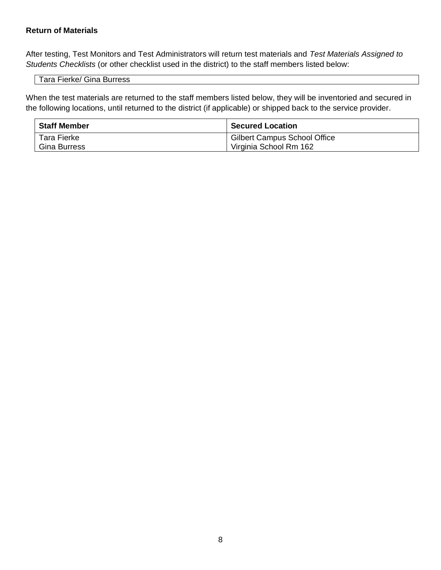#### **Return of Materials**

After testing, Test Monitors and Test Administrators will return test materials and *Test Materials Assigned to Students Checklists* (or other checklist used in the district) to the staff members listed below:

Tara Fierke/ Gina Burress

When the test materials are returned to the staff members listed below, they will be inventoried and secured in the following locations, until returned to the district (if applicable) or shipped back to the service provider.

| <b>Staff Member</b> | <b>Secured Location</b>                   |
|---------------------|-------------------------------------------|
| Tara Fierke         | <sup>1</sup> Gilbert Campus School Office |
| <b>Gina Burress</b> | Virginia School Rm 162                    |